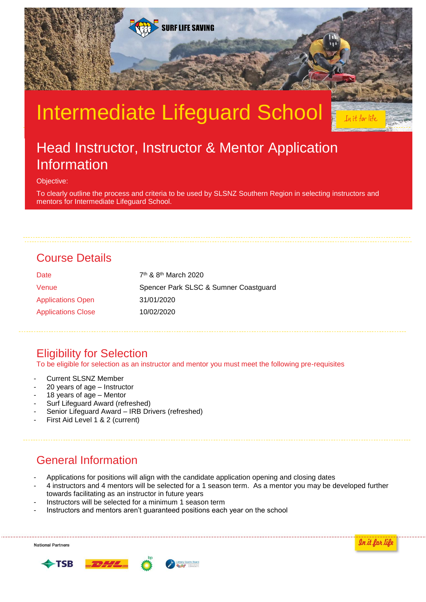

# Intermediate Lifeguard School

## Head Instructor, Instructor & Mentor Application Information

Objective:

To clearly outline the process and criteria to be used by SLSNZ Southern Region in selecting instructors and mentors for Intermediate Lifeguard School.

## Course Details

| Date                      | $7th$ & 8 <sup>th</sup> March 2020    |
|---------------------------|---------------------------------------|
| Venue                     | Spencer Park SLSC & Sumner Coastguard |
| <b>Applications Open</b>  | 31/01/2020                            |
| <b>Applications Close</b> | 10/02/2020                            |

## Eligibility for Selection

To be eligible for selection as an instructor and mentor you must meet the following pre-requisites

- Current SLSNZ Member
- 20 years of age Instructor
- 18 years of age Mentor
- Surf Lifeguard Award (refreshed)
- Senior Lifeguard Award IRB Drivers (refreshed)
- First Aid Level 1 & 2 (current)

## General Information

- Applications for positions will align with the candidate application opening and closing dates
- 4 instructors and 4 mentors will be selected for a 1 season term. As a mentor you may be developed further towards facilitating as an instructor in future years
- Instructors will be selected for a minimum 1 season term
- Instructors and mentors aren't guaranteed positions each year on the school

**National Partners** 



In it for life